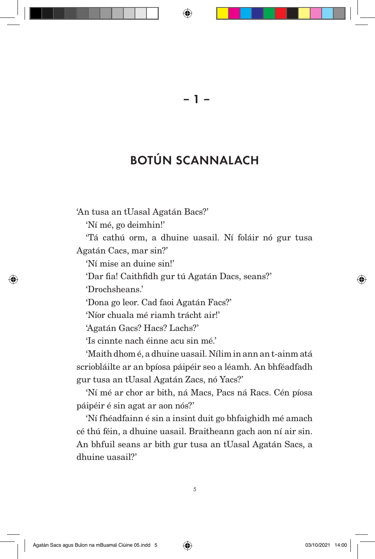## BOTÚN SCANNALACH

'An tusa an tUasal Agatán Bacs?'

'Ní mé, go deimhin!'

'Tá cathú orm, a dhuine uasail. Ní foláir nó gur tusa Agatán Cacs, mar sin?'

'Ní mise an duine sin!'

'Dar fia! Caithfidh gur tú Agatán Dacs, seans?'

'Drochsheans.'

'Dona go leor. Cad faoi Agatán Facs?'

'Níor chuala mé riamh trácht air!'

'Agatán Gacs? Hacs? Lachs?'

'Is cinnte nach éinne acu sin mé.'

'Maith dhom é, a dhuine uasail. Nílim in ann an t-ainm atá scriobláilte ar an bpíosa páipéir seo a léamh. An bhféadfadh gur tusa an tUasal Agatán Zacs, nó Yacs?'

'Ní mé ar chor ar bith, ná Macs, Pacs ná Racs. Cén píosa páipéir é sin agat ar aon nós?'

'Ní fhéadfainn é sin a insint duit go bhfaighidh mé amach cé thú féin, a dhuine uasail. Braitheann gach aon ní air sin. An bhfuil seans ar bith gur tusa an tUasal Agatán Sacs, a dhuine uasail?'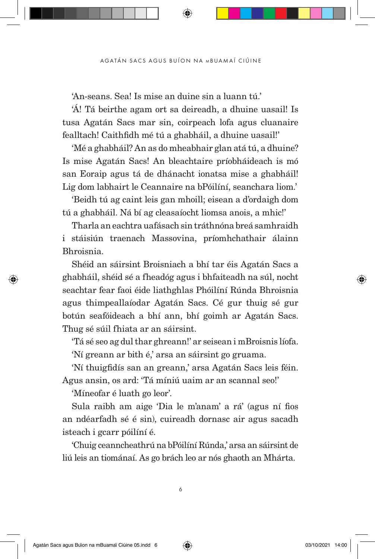'An-seans. Sea! Is mise an duine sin a luann tú.'

'Á! Tá beirthe agam ort sa deireadh, a dhuine uasail! Is tusa Agatán Sacs mar sin, coirpeach lofa agus cluanaire fealltach! Caithfidh mé tú a ghabháil, a dhuine uasail!'

'Mé a ghabháil? An as do mheabhair glan atá tú, a dhuine? Is mise Agatán Sacs! An bleachtaire príobháideach is mó san Eoraip agus tá de dhánacht ionatsa mise a ghabháil! Lig dom labhairt le Ceannaire na bPóilíní, seanchara liom.'

'Beidh tú ag caint leis gan mhoill; eisean a d'ordaigh dom tú a ghabháil. Ná bí ag cleasaíocht liomsa anois, a mhic!'

Tharla an eachtra uafásach sin tráthnóna breá samhraidh i stáisiún traenach Massovina, príomhchathair álainn Bhroisnia.

Shéid an sáirsint Broisniach a bhí tar éis Agatán Sacs a ghabháil, shéid sé a fheadóg agus i bhfaiteadh na súl, nocht seachtar fear faoi éide liathghlas Phóilíní Rúnda Bhroisnia agus thimpeallaíodar Agatán Sacs. Cé gur thuig sé gur botún seafóideach a bhí ann, bhí goimh ar Agatán Sacs. Thug sé súil fhiata ar an sáirsint.

'Tá sé seo ag dul thar ghreann!' ar seisean i mBroisnis líofa.

'Ní greann ar bith é,' arsa an sáirsint go gruama.

'Ní thuigfidís san an greann,' arsa Agatán Sacs leis féin. Agus ansin, os ard: 'Tá míniú uaim ar an scannal seo!'

'Míneofar é luath go leor'.

Sula raibh am aige 'Dia le m'anam' a rá' (agus ní fios an ndéarfadh sé é sin), cuireadh dornasc air agus sacadh isteach i gcarr póilíní é.

'Chuig ceanncheathrú na bPóilíní Rúnda,' arsa an sáirsint de liú leis an tiománaí. As go brách leo ar nós ghaoth an Mhárta.

6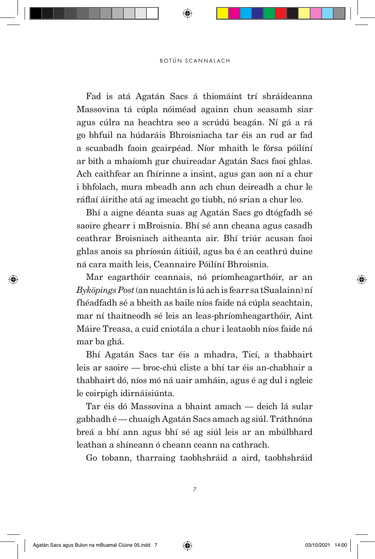Fad is atá Agatán Sacs á thiomáint trí shráideanna Massovina tá cúpla nóiméad againn chun seasamh siar agus cúlra na heachtra seo a scrúdú beagán. Ní gá a rá go bhfuil na húdaráis Bhroisniacha tar éis an rud ar fad a scuabadh faoin gcairpéad. Níor mhaith le fórsa póilíní ar bith a mhaíomh gur chuireadar Agatán Sacs faoi ghlas. Ach caithfear an fhírinne a insint, agus gan aon ní a chur i bhfolach, mura mbeadh ann ach chun deireadh a chur le ráflaí áirithe atá ag imeacht go tiubh, nó srian a chur leo.

Bhí a aigne déanta suas ag Agatán Sacs go dtógfadh sé saoire ghearr i mBroisnia. Bhí sé ann cheana agus casadh ceathrar Broisniach aitheanta air. Bhí triúr acusan faoi ghlas anois sa phríosún áitiúil, agus ba é an ceathrú duine ná cara maith leis, Ceannaire Póilíní Bhroisnia.

Mar eagarthóir ceannais, nó príomheagarthóir, ar an *Byköpings Post* (an nuachtán is lú ach is fearr sa tSualainn) ní fhéadfadh sé a bheith as baile níos faide ná cúpla seachtain, mar ní thaitneodh sé leis an leas-phríomheagarthóir, Aint Máire Treasa, a cuid cniotála a chur i leataobh níos faide ná mar ba ghá.

Bhí Agatán Sacs tar éis a mhadra, Ticí, a thabhairt leis ar saoire — broc-chú cliste a bhí tar éis an-chabhair a thabhairt dó, níos mó ná uair amháin, agus é ag dul i ngleic le coirpigh idirnáisiúnta.

Tar éis dó Massovina a bhaint amach — deich lá sular gabhadh é — chuaigh Agatán Sacs amach ag siúl. Tráthnóna breá a bhí ann agus bhí sé ag siúl leis ar an mbúlbhard leathan a shíneann ó cheann ceann na cathrach.

Go tobann, tharraing taobhshráid a aird, taobhshráid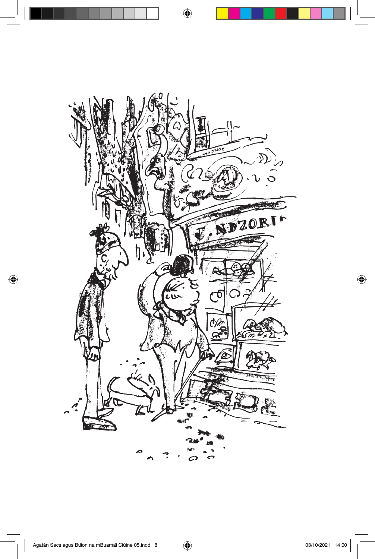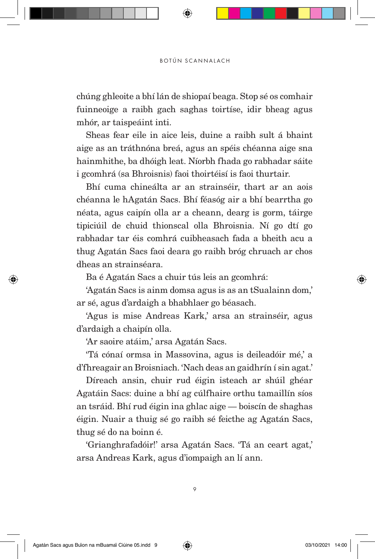chúng ghleoite a bhí lán de shiopaí beaga. Stop sé os comhair fuinneoige a raibh gach saghas toirtíse, idir bheag agus mhór, ar taispeáint inti.

Sheas fear eile in aice leis, duine a raibh sult á bhaint aige as an tráthnóna breá, agus an spéis chéanna aige sna hainmhithe, ba dhóigh leat. Níorbh fhada go rabhadar sáite i gcomhrá (sa Bhroisnis) faoi thoirtéisí is faoi thurtair.

Bhí cuma chineálta ar an strainséir, thart ar an aois chéanna le hAgatán Sacs. Bhí féasóg air a bhí bearrtha go néata, agus caipín olla ar a cheann, dearg is gorm, táirge tipiciúil de chuid thionscal olla Bhroisnia. Ní go dtí go rabhadar tar éis comhrá cuibheasach fada a bheith acu a thug Agatán Sacs faoi deara go raibh bróg chruach ar chos dheas an strainséara.

Ba é Agatán Sacs a chuir tús leis an gcomhrá:

'Agatán Sacs is ainm domsa agus is as an tSualainn dom,' ar sé, agus d'ardaigh a bhabhlaer go béasach.

'Agus is mise Andreas Kark,' arsa an strainséir, agus d'ardaigh a chaipín olla.

'Ar saoire atáim,' arsa Agatán Sacs.

'Tá cónaí ormsa in Massovina, agus is deileadóir mé,' a d'fhreagair an Broisniach. 'Nach deas an gaidhrín í sin agat.'

Díreach ansin, chuir rud éigin isteach ar shúil ghéar Agatáin Sacs: duine a bhí ag cúlfhaire orthu tamaillín síos an tsráid. Bhí rud éigin ina ghlac aige — boiscín de shaghas éigin. Nuair a thuig sé go raibh sé feicthe ag Agatán Sacs, thug sé do na boinn é.

'Grianghrafadóir!' arsa Agatán Sacs. 'Tá an ceart agat,' arsa Andreas Kark, agus d'iompaigh an lí ann.